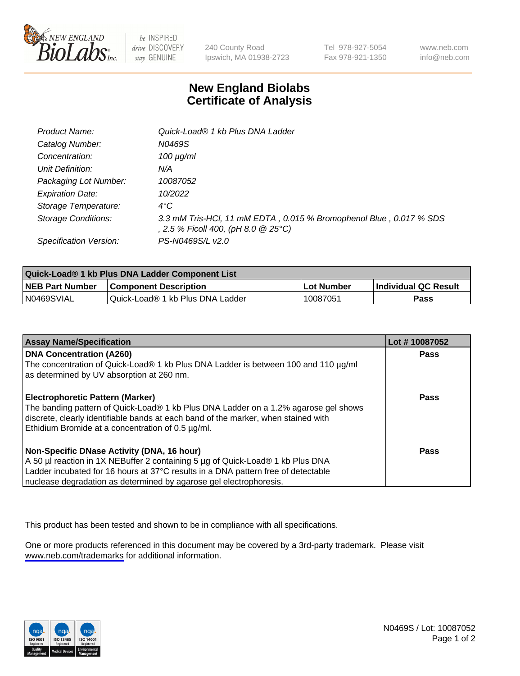

be INSPIRED drive DISCOVERY stay GENUINE

240 County Road Ipswich, MA 01938-2723 Tel 978-927-5054 Fax 978-921-1350

www.neb.com info@neb.com

## **New England Biolabs Certificate of Analysis**

| Product Name:              | Quick-Load® 1 kb Plus DNA Ladder                                                                          |
|----------------------------|-----------------------------------------------------------------------------------------------------------|
| Catalog Number:            | N0469S                                                                                                    |
| Concentration:             | $100 \mu g/ml$                                                                                            |
| Unit Definition:           | N/A                                                                                                       |
| Packaging Lot Number:      | 10087052                                                                                                  |
| <b>Expiration Date:</b>    | 10/2022                                                                                                   |
| Storage Temperature:       | $4^{\circ}$ C                                                                                             |
| <b>Storage Conditions:</b> | 3.3 mM Tris-HCl, 11 mM EDTA, 0.015 % Bromophenol Blue, 0.017 % SDS<br>, 2.5 % Ficoll 400, (pH 8.0 @ 25°C) |
| Specification Version:     | PS-N0469S/L v2.0                                                                                          |

| Quick-Load® 1 kb Plus DNA Ladder Component List |                                  |            |                             |  |
|-------------------------------------------------|----------------------------------|------------|-----------------------------|--|
| <b>NEB Part Number</b>                          | <b>Component Description</b>     | Lot Number | <b>Individual QC Result</b> |  |
| N0469SVIAL                                      | Quick-Load® 1 kb Plus DNA Ladder | 10087051   | Pass                        |  |

| <b>Assay Name/Specification</b>                                                                                                                                                                                                                                                         | Lot #10087052 |
|-----------------------------------------------------------------------------------------------------------------------------------------------------------------------------------------------------------------------------------------------------------------------------------------|---------------|
| <b>DNA Concentration (A260)</b><br>The concentration of Quick-Load® 1 kb Plus DNA Ladder is between 100 and 110 µg/ml<br>as determined by UV absorption at 260 nm.                                                                                                                      | <b>Pass</b>   |
| <b>Electrophoretic Pattern (Marker)</b><br>The banding pattern of Quick-Load® 1 kb Plus DNA Ladder on a 1.2% agarose gel shows<br>discrete, clearly identifiable bands at each band of the marker, when stained with<br>Ethidium Bromide at a concentration of 0.5 µg/ml.               | Pass          |
| Non-Specific DNase Activity (DNA, 16 hour)<br>A 50 µl reaction in 1X NEBuffer 2 containing 5 µg of Quick-Load® 1 kb Plus DNA<br>Ladder incubated for 16 hours at 37°C results in a DNA pattern free of detectable<br>nuclease degradation as determined by agarose gel electrophoresis. | Pass          |

This product has been tested and shown to be in compliance with all specifications.

One or more products referenced in this document may be covered by a 3rd-party trademark. Please visit <www.neb.com/trademarks>for additional information.